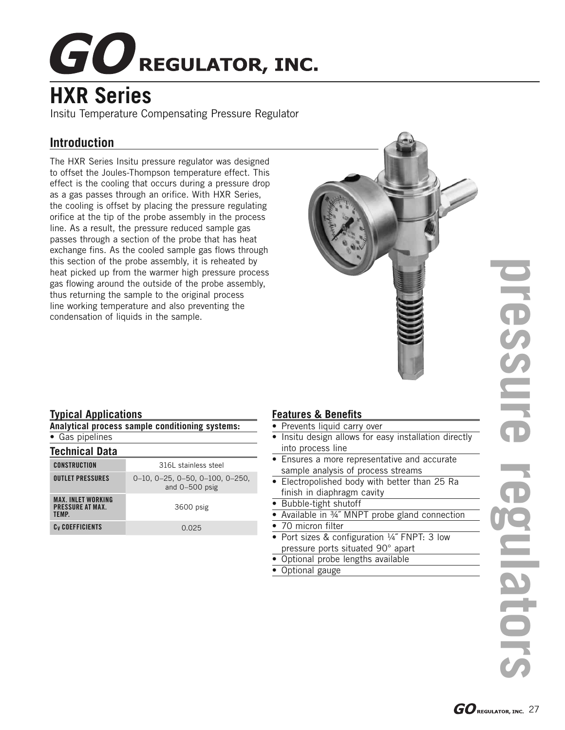# **GO** REGULATOR, INC.

# **HXR Series**

Insitu Temperature Compensating Pressure Regulator

## **Introduction**

The HXR Series Insitu pressure regulator was designed to offset the Joules-Thompson temperature effect. This effect is the cooling that occurs during a pressure drop as a gas passes through an orifice. With HXR Series, the cooling is offset by placing the pressure regulating orifice at the tip of the probe assembly in the process line. As a result, the pressure reduced sample gas passes through a section of the probe that has heat exchange fins. As the cooled sample gas flows through this section of the probe assembly, it is reheated by heat picked up from the warmer high pressure process gas flowing around the outside of the probe assembly, thus returning the sample to the original process line working temperature and also preventing the condensation of liquids in the sample.



#### **Typical Applications**

|  |  | Analytical process sample conditioning systems: |  |
|--|--|-------------------------------------------------|--|
|  |  |                                                 |  |

|  | Gas pipelines |  |
|--|---------------|--|
|  |               |  |

| <b>Technical Data</b>                                        |                                                                    |  |  |  |
|--------------------------------------------------------------|--------------------------------------------------------------------|--|--|--|
| CONSTRUCTION                                                 | 316L stainless steel                                               |  |  |  |
| <b>OUTLET PRESSURES</b>                                      | $0-10$ , $0-25$ , $0-50$ , $0-100$ , $0-250$ ,<br>and $0-500$ psig |  |  |  |
| <b>MAX. INLET WORKING</b><br><b>PRESSURE AT MAX.</b><br>TFMP | 3600 psig                                                          |  |  |  |
| C <sub>v</sub> COEFFICIENTS                                  | 0.025                                                              |  |  |  |
|                                                              |                                                                    |  |  |  |

#### **Features & Benefits**

- Prevents liquid carry over
- Insitu design allows for easy installation directly into process line
- Ensures a more representative and accurate sample analysis of process streams
- Electropolished body with better than 25 Ra finish in diaphragm cavity
- Bubble-tight shutoff
- Available in 34" MNPT probe gland connection
- 70 micron filter
- Port sizes & configuration 1/4" FNPT: 3 low pressure ports situated 90° apart
- Optional probe lengths available
- Optional gauge